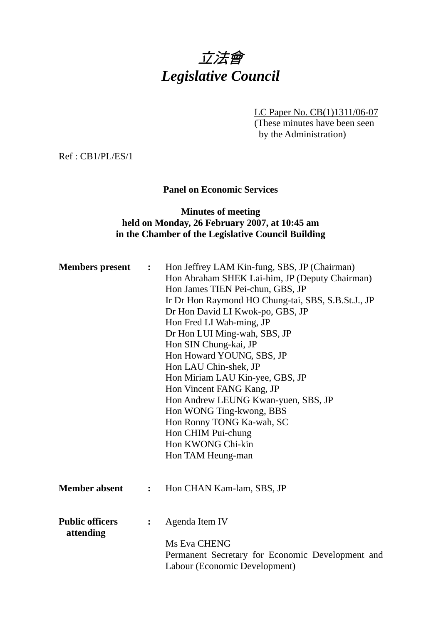# 立法會 *Legislative Council*

LC Paper No. CB(1)1311/06-07 (These minutes have been seen by the Administration)

Ref : CB1/PL/ES/1

## **Panel on Economic Services**

## **Minutes of meeting held on Monday, 26 February 2007, at 10:45 am in the Chamber of the Legislative Council Building**

| <b>Members</b> present              | $\ddot{\bullet}$ | Hon Jeffrey LAM Kin-fung, SBS, JP (Chairman)<br>Hon Abraham SHEK Lai-him, JP (Deputy Chairman)<br>Hon James TIEN Pei-chun, GBS, JP<br>Ir Dr Hon Raymond HO Chung-tai, SBS, S.B.St.J., JP<br>Dr Hon David LI Kwok-po, GBS, JP<br>Hon Fred LI Wah-ming, JP<br>Dr Hon LUI Ming-wah, SBS, JP<br>Hon SIN Chung-kai, JP<br>Hon Howard YOUNG, SBS, JP<br>Hon LAU Chin-shek, JP<br>Hon Miriam LAU Kin-yee, GBS, JP<br>Hon Vincent FANG Kang, JP<br>Hon Andrew LEUNG Kwan-yuen, SBS, JP<br>Hon WONG Ting-kwong, BBS<br>Hon Ronny TONG Ka-wah, SC<br>Hon CHIM Pui-chung<br>Hon KWONG Chi-kin<br>Hon TAM Heung-man |
|-------------------------------------|------------------|---------------------------------------------------------------------------------------------------------------------------------------------------------------------------------------------------------------------------------------------------------------------------------------------------------------------------------------------------------------------------------------------------------------------------------------------------------------------------------------------------------------------------------------------------------------------------------------------------------|
| <b>Member absent</b>                | $\ddot{\cdot}$   | Hon CHAN Kam-lam, SBS, JP                                                                                                                                                                                                                                                                                                                                                                                                                                                                                                                                                                               |
| <b>Public officers</b><br>attending | $\ddot{\cdot}$   | Agenda Item IV<br>Ms Eva CHENG<br>Permanent Secretary for Economic Development and<br>Labour (Economic Development)                                                                                                                                                                                                                                                                                                                                                                                                                                                                                     |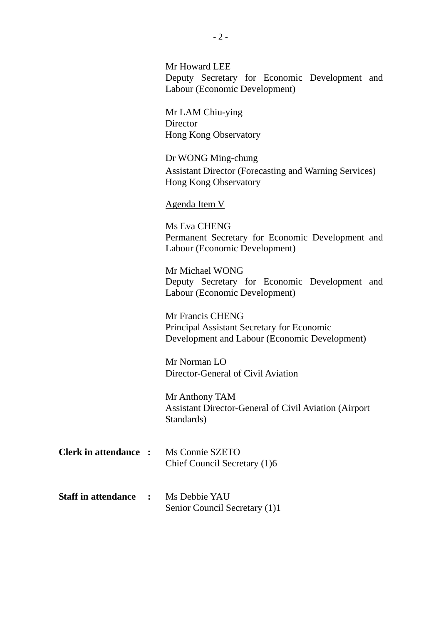|                              | Mr Howard LEE<br>Deputy Secretary for Economic Development and<br>Labour (Economic Development)                 |
|------------------------------|-----------------------------------------------------------------------------------------------------------------|
|                              | Mr LAM Chiu-ying<br>Director<br><b>Hong Kong Observatory</b>                                                    |
|                              | Dr WONG Ming-chung<br><b>Assistant Director (Forecasting and Warning Services)</b><br>Hong Kong Observatory     |
|                              | <b>Agenda Item V</b>                                                                                            |
|                              | Ms Eva CHENG<br>Permanent Secretary for Economic Development and<br>Labour (Economic Development)               |
|                              | Mr Michael WONG<br>Deputy Secretary for Economic Development and<br>Labour (Economic Development)               |
|                              | Mr Francis CHENG<br>Principal Assistant Secretary for Economic<br>Development and Labour (Economic Development) |
|                              | Mr Norman LO<br>Director-General of Civil Aviation                                                              |
|                              | Mr Anthony TAM<br><b>Assistant Director-General of Civil Aviation (Airport</b><br>Standards)                    |
| <b>Clerk in attendance :</b> | Ms Connie SZETO<br>Chief Council Secretary (1)6                                                                 |
| <b>Staff in attendance</b>   | Ms Debbie YAU<br>Senior Council Secretary (1)1                                                                  |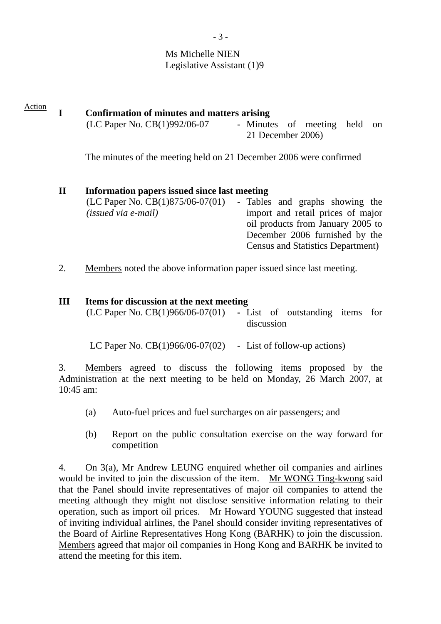## Ms Michelle NIEN Legislative Assistant (1)9

#### **I Confirmation of minutes and matters arising**  Action

 $(LC$  Paper No.  $CB(1)992/06-07$  - Minutes of meeting held on 21 December 2006)

The minutes of the meeting held on 21 December 2006 were confirmed

## **II Information papers issued since last meeting**

(LC Paper No. CB(1)875/06-07(01) *(issued via e-mail)*  - Tables and graphs showing the import and retail prices of major oil products from January 2005 to December 2006 furnished by the Census and Statistics Department)

2. Members noted the above information paper issued since last meeting.

## **III Items for discussion at the next meeting**

| $(LC$ Paper No. $CB(1)966/06-07(01)$ - List of outstanding items for |            |  |  |  |  |  |  |
|----------------------------------------------------------------------|------------|--|--|--|--|--|--|
|                                                                      | discussion |  |  |  |  |  |  |

LC Paper No.  $CB(1)966/06-07(02)$  - List of follow-up actions)

3. Members agreed to discuss the following items proposed by the Administration at the next meeting to be held on Monday, 26 March 2007, at 10:45 am:

- (a) Auto-fuel prices and fuel surcharges on air passengers; and
- (b) Report on the public consultation exercise on the way forward for competition

4. On 3(a), Mr Andrew LEUNG enquired whether oil companies and airlines would be invited to join the discussion of the item. Mr WONG Ting-kwong said that the Panel should invite representatives of major oil companies to attend the meeting although they might not disclose sensitive information relating to their operation, such as import oil prices. Mr Howard YOUNG suggested that instead of inviting individual airlines, the Panel should consider inviting representatives of the Board of Airline Representatives Hong Kong (BARHK) to join the discussion. Members agreed that major oil companies in Hong Kong and BARHK be invited to attend the meeting for this item.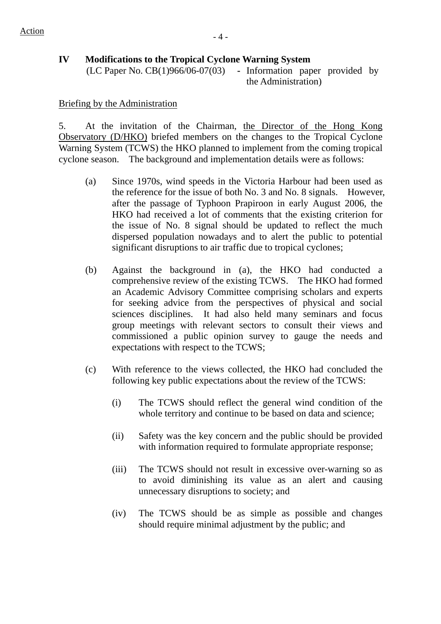## **IV Modifications to the Tropical Cyclone Warning System**

(LC Paper No. CB(1)966/06-07(03) **-** Information paper provided by the Administration)

## Briefing by the Administration

5. At the invitation of the Chairman, the Director of the Hong Kong Observatory (D/HKO) briefed members on the changes to the Tropical Cyclone Warning System (TCWS) the HKO planned to implement from the coming tropical cyclone season. The background and implementation details were as follows:

- (a) Since 1970s, wind speeds in the Victoria Harbour had been used as the reference for the issue of both No. 3 and No. 8 signals. However, after the passage of Typhoon Prapiroon in early August 2006, the HKO had received a lot of comments that the existing criterion for the issue of No. 8 signal should be updated to reflect the much dispersed population nowadays and to alert the public to potential significant disruptions to air traffic due to tropical cyclones:
- (b) Against the background in (a), the HKO had conducted a comprehensive review of the existing TCWS. The HKO had formed an Academic Advisory Committee comprising scholars and experts for seeking advice from the perspectives of physical and social sciences disciplines. It had also held many seminars and focus group meetings with relevant sectors to consult their views and commissioned a public opinion survey to gauge the needs and expectations with respect to the TCWS;
- (c) With reference to the views collected, the HKO had concluded the following key public expectations about the review of the TCWS:
	- (i) The TCWS should reflect the general wind condition of the whole territory and continue to be based on data and science;
	- (ii) Safety was the key concern and the public should be provided with information required to formulate appropriate response;
	- (iii) The TCWS should not result in excessive over-warning so as to avoid diminishing its value as an alert and causing unnecessary disruptions to society; and
	- (iv) The TCWS should be as simple as possible and changes should require minimal adjustment by the public; and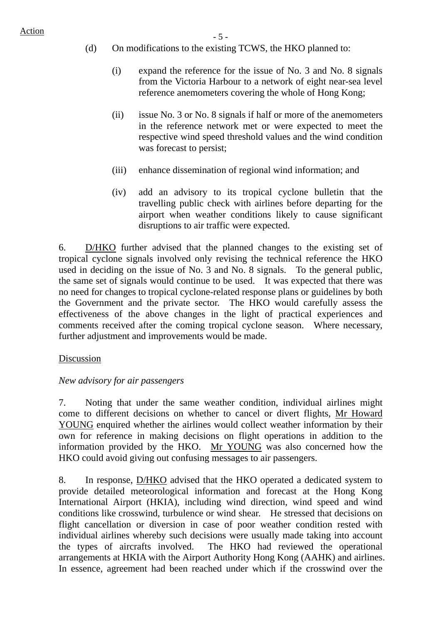## $\frac{\text{Action}}{\text{Action}}$  - 5 -

- (d) On modifications to the existing TCWS, the HKO planned to:
	- (i) expand the reference for the issue of No. 3 and No. 8 signals from the Victoria Harbour to a network of eight near-sea level reference anemometers covering the whole of Hong Kong;
	- (ii) issue No. 3 or No. 8 signals if half or more of the anemometers in the reference network met or were expected to meet the respective wind speed threshold values and the wind condition was forecast to persist;
	- (iii) enhance dissemination of regional wind information; and
	- (iv) add an advisory to its tropical cyclone bulletin that the travelling public check with airlines before departing for the airport when weather conditions likely to cause significant disruptions to air traffic were expected.

6. D/HKO further advised that the planned changes to the existing set of tropical cyclone signals involved only revising the technical reference the HKO used in deciding on the issue of No. 3 and No. 8 signals. To the general public, the same set of signals would continue to be used. It was expected that there was no need for changes to tropical cyclone-related response plans or guidelines by both the Government and the private sector. The HKO would carefully assess the effectiveness of the above changes in the light of practical experiences and comments received after the coming tropical cyclone season. Where necessary, further adjustment and improvements would be made.

## Discussion

## *New advisory for air passengers*

7. Noting that under the same weather condition, individual airlines might come to different decisions on whether to cancel or divert flights, Mr Howard YOUNG enquired whether the airlines would collect weather information by their own for reference in making decisions on flight operations in addition to the information provided by the HKO. Mr YOUNG was also concerned how the HKO could avoid giving out confusing messages to air passengers.

8. In response, <u>D/HKO</u> advised that the HKO operated a dedicated system to provide detailed meteorological information and forecast at the Hong Kong International Airport (HKIA), including wind direction, wind speed and wind conditions like crosswind, turbulence or wind shear. He stressed that decisions on flight cancellation or diversion in case of poor weather condition rested with individual airlines whereby such decisions were usually made taking into account the types of aircrafts involved. The HKO had reviewed the operational arrangements at HKIA with the Airport Authority Hong Kong (AAHK) and airlines. In essence, agreement had been reached under which if the crosswind over the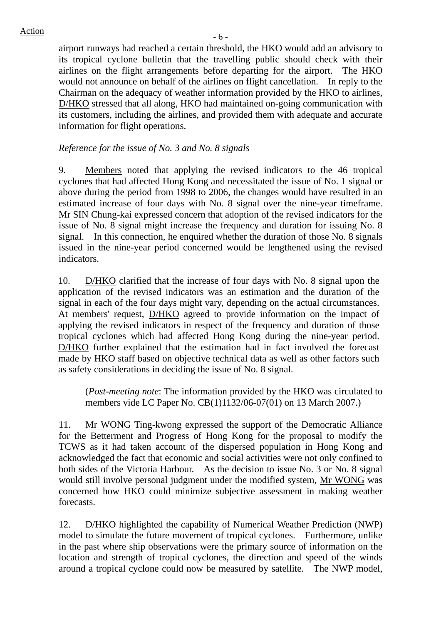airport runways had reached a certain threshold, the HKO would add an advisory to its tropical cyclone bulletin that the travelling public should check with their airlines on the flight arrangements before departing for the airport. The HKO would not announce on behalf of the airlines on flight cancellation. In reply to the Chairman on the adequacy of weather information provided by the HKO to airlines, D/HKO stressed that all along, HKO had maintained on-going communication with its customers, including the airlines, and provided them with adequate and accurate information for flight operations.

## *Reference for the issue of No. 3 and No. 8 signals*

9. Members noted that applying the revised indicators to the 46 tropical cyclones that had affected Hong Kong and necessitated the issue of No. 1 signal or above during the period from 1998 to 2006, the changes would have resulted in an estimated increase of four days with No. 8 signal over the nine-year timeframe. Mr SIN Chung-kai expressed concern that adoption of the revised indicators for the issue of No. 8 signal might increase the frequency and duration for issuing No. 8 signal. In this connection, he enquired whether the duration of those No. 8 signals issued in the nine-year period concerned would be lengthened using the revised indicators.

10. D/HKO clarified that the increase of four days with No. 8 signal upon the application of the revised indicators was an estimation and the duration of the signal in each of the four days might vary, depending on the actual circumstances. At members' request, D/HKO agreed to provide information on the impact of applying the revised indicators in respect of the frequency and duration of those tropical cyclones which had affected Hong Kong during the nine-year period. D/HKO further explained that the estimation had in fact involved the forecast made by HKO staff based on objective technical data as well as other factors such as safety considerations in deciding the issue of No. 8 signal.

(*Post-meeting note*: The information provided by the HKO was circulated to members vide LC Paper No. CB(1)1132/06-07(01) on 13 March 2007.)

11. Mr WONG Ting-kwong expressed the support of the Democratic Alliance for the Betterment and Progress of Hong Kong for the proposal to modify the TCWS as it had taken account of the dispersed population in Hong Kong and acknowledged the fact that economic and social activities were not only confined to both sides of the Victoria Harbour. As the decision to issue No. 3 or No. 8 signal would still involve personal judgment under the modified system, Mr WONG was concerned how HKO could minimize subjective assessment in making weather forecasts.

12. D/HKO highlighted the capability of Numerical Weather Prediction (NWP) model to simulate the future movement of tropical cyclones. Furthermore, unlike in the past where ship observations were the primary source of information on the location and strength of tropical cyclones, the direction and speed of the winds around a tropical cyclone could now be measured by satellite. The NWP model,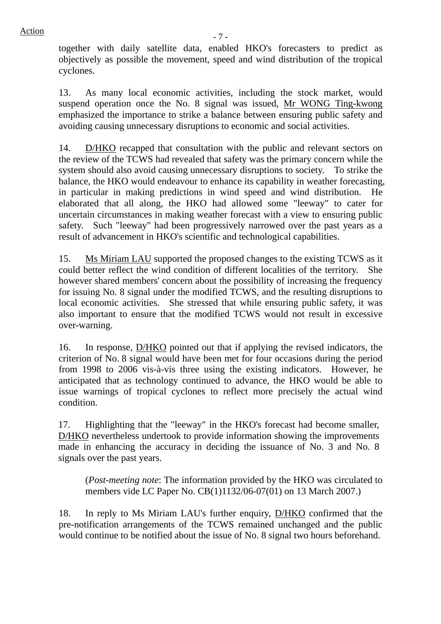together with daily satellite data, enabled HKO's forecasters to predict as objectively as possible the movement, speed and wind distribution of the tropical cyclones.

13. As many local economic activities, including the stock market, would suspend operation once the No. 8 signal was issued, Mr WONG Ting-kwong emphasized the importance to strike a balance between ensuring public safety and avoiding causing unnecessary disruptions to economic and social activities.

14. D/HKO recapped that consultation with the public and relevant sectors on the review of the TCWS had revealed that safety was the primary concern while the system should also avoid causing unnecessary disruptions to society. To strike the balance, the HKO would endeavour to enhance its capability in weather forecasting, in particular in making predictions in wind speed and wind distribution. He elaborated that all along, the HKO had allowed some "leeway" to cater for uncertain circumstances in making weather forecast with a view to ensuring public safety. Such "leeway" had been progressively narrowed over the past years as a result of advancement in HKO's scientific and technological capabilities.

15. Ms Miriam LAU supported the proposed changes to the existing TCWS as it could better reflect the wind condition of different localities of the territory. She however shared members' concern about the possibility of increasing the frequency for issuing No. 8 signal under the modified TCWS, and the resulting disruptions to local economic activities. She stressed that while ensuring public safety, it was also important to ensure that the modified TCWS would not result in excessive over-warning.

16. In response, D/HKO pointed out that if applying the revised indicators, the criterion of No. 8 signal would have been met for four occasions during the period from 1998 to 2006 vis-à-vis three using the existing indicators. However, he anticipated that as technology continued to advance, the HKO would be able to issue warnings of tropical cyclones to reflect more precisely the actual wind condition.

17. Highlighting that the "leeway" in the HKO's forecast had become smaller, D/HKO nevertheless undertook to provide information showing the improvements made in enhancing the accuracy in deciding the issuance of No. 3 and No. 8 signals over the past years.

(*Post-meeting note*: The information provided by the HKO was circulated to members vide LC Paper No. CB(1)1132/06-07(01) on 13 March 2007.)

18. In reply to Ms Miriam LAU's further enquiry, D/HKO confirmed that the pre-notification arrangements of the TCWS remained unchanged and the public would continue to be notified about the issue of No. 8 signal two hours beforehand.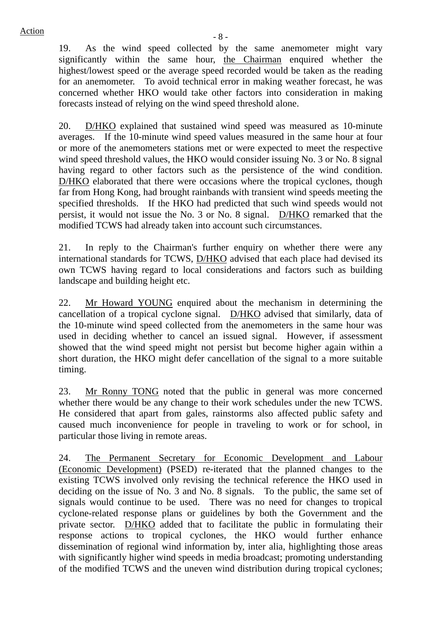19. As the wind speed collected by the same anemometer might vary significantly within the same hour, the Chairman enquired whether the highest/lowest speed or the average speed recorded would be taken as the reading for an anemometer. To avoid technical error in making weather forecast, he was concerned whether HKO would take other factors into consideration in making forecasts instead of relying on the wind speed threshold alone.

20. D/HKO explained that sustained wind speed was measured as 10-minute averages. If the 10-minute wind speed values measured in the same hour at four or more of the anemometers stations met or were expected to meet the respective wind speed threshold values, the HKO would consider issuing No. 3 or No. 8 signal having regard to other factors such as the persistence of the wind condition. D/HKO elaborated that there were occasions where the tropical cyclones, though far from Hong Kong, had brought rainbands with transient wind speeds meeting the specified thresholds. If the HKO had predicted that such wind speeds would not persist, it would not issue the No. 3 or No. 8 signal. D/HKO remarked that the modified TCWS had already taken into account such circumstances.

21. In reply to the Chairman's further enquiry on whether there were any international standards for TCWS, D/HKO advised that each place had devised its own TCWS having regard to local considerations and factors such as building landscape and building height etc.

22. Mr Howard YOUNG enquired about the mechanism in determining the cancellation of a tropical cyclone signal. D/HKO advised that similarly, data of the 10-minute wind speed collected from the anemometers in the same hour was used in deciding whether to cancel an issued signal. However, if assessment showed that the wind speed might not persist but become higher again within a short duration, the HKO might defer cancellation of the signal to a more suitable timing.

23. Mr Ronny TONG noted that the public in general was more concerned whether there would be any change to their work schedules under the new TCWS. He considered that apart from gales, rainstorms also affected public safety and caused much inconvenience for people in traveling to work or for school, in particular those living in remote areas.

24. The Permanent Secretary for Economic Development and Labour (Economic Development) (PSED) re-iterated that the planned changes to the existing TCWS involved only revising the technical reference the HKO used in deciding on the issue of No. 3 and No. 8 signals. To the public, the same set of signals would continue to be used. There was no need for changes to tropical cyclone-related response plans or guidelines by both the Government and the private sector. D/HKO added that to facilitate the public in formulating their response actions to tropical cyclones, the HKO would further enhance dissemination of regional wind information by, inter alia, highlighting those areas with significantly higher wind speeds in media broadcast; promoting understanding of the modified TCWS and the uneven wind distribution during tropical cyclones;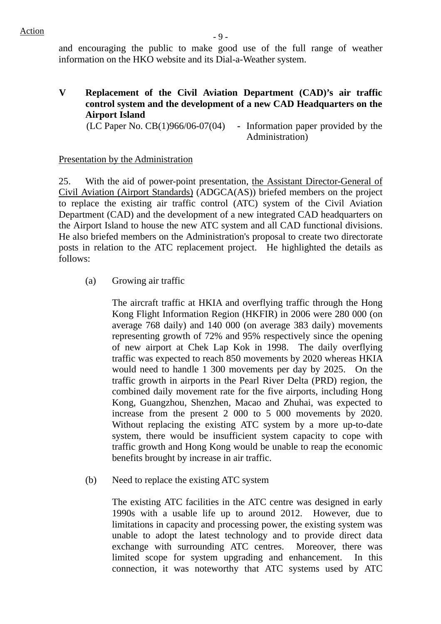## Action **Action**

and encouraging the public to make good use of the full range of weather information on the HKO website and its Dial-a-Weather system.

**V Replacement of the Civil Aviation Department (CAD)'s air traffic control system and the development of a new CAD Headquarters on the Airport Island** 

(LC Paper No. CB(1)966/06-07(04) **-** Information paper provided by the Administration)

## Presentation by the Administration

25. With the aid of power-point presentation, the Assistant Director-General of Civil Aviation (Airport Standards) (ADGCA(AS)) briefed members on the project to replace the existing air traffic control (ATC) system of the Civil Aviation Department (CAD) and the development of a new integrated CAD headquarters on the Airport Island to house the new ATC system and all CAD functional divisions. He also briefed members on the Administration's proposal to create two directorate posts in relation to the ATC replacement project. He highlighted the details as follows:

(a) Growing air traffic

The aircraft traffic at HKIA and overflying traffic through the Hong Kong Flight Information Region (HKFIR) in 2006 were 280 000 (on average 768 daily) and 140 000 (on average 383 daily) movements representing growth of 72% and 95% respectively since the opening of new airport at Chek Lap Kok in 1998. The daily overflying traffic was expected to reach 850 movements by 2020 whereas HKIA would need to handle 1 300 movements per day by 2025. On the traffic growth in airports in the Pearl River Delta (PRD) region, the combined daily movement rate for the five airports, including Hong Kong, Guangzhou, Shenzhen, Macao and Zhuhai, was expected to increase from the present 2 000 to 5 000 movements by 2020. Without replacing the existing ATC system by a more up-to-date system, there would be insufficient system capacity to cope with traffic growth and Hong Kong would be unable to reap the economic benefits brought by increase in air traffic.

(b) Need to replace the existing ATC system

The existing ATC facilities in the ATC centre was designed in early 1990s with a usable life up to around 2012. However, due to limitations in capacity and processing power, the existing system was unable to adopt the latest technology and to provide direct data exchange with surrounding ATC centres. Moreover, there was limited scope for system upgrading and enhancement. In this connection, it was noteworthy that ATC systems used by ATC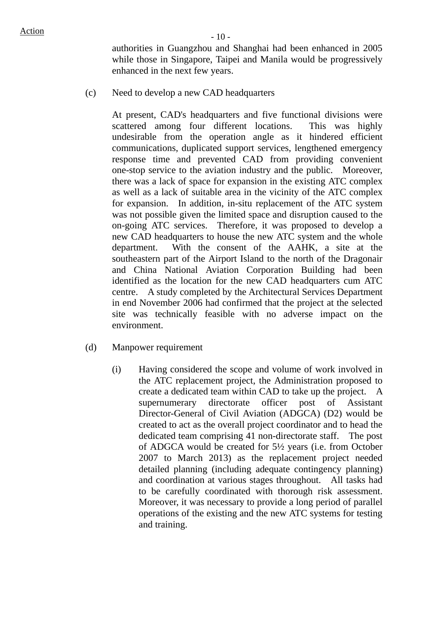authorities in Guangzhou and Shanghai had been enhanced in 2005 while those in Singapore, Taipei and Manila would be progressively enhanced in the next few years.

(c) Need to develop a new CAD headquarters

At present, CAD's headquarters and five functional divisions were scattered among four different locations. This was highly undesirable from the operation angle as it hindered efficient communications, duplicated support services, lengthened emergency response time and prevented CAD from providing convenient one-stop service to the aviation industry and the public. Moreover, there was a lack of space for expansion in the existing ATC complex as well as a lack of suitable area in the vicinity of the ATC complex for expansion. In addition, in-situ replacement of the ATC system was not possible given the limited space and disruption caused to the on-going ATC services. Therefore, it was proposed to develop a new CAD headquarters to house the new ATC system and the whole department. With the consent of the AAHK, a site at the southeastern part of the Airport Island to the north of the Dragonair and China National Aviation Corporation Building had been identified as the location for the new CAD headquarters cum ATC centre. A study completed by the Architectural Services Department in end November 2006 had confirmed that the project at the selected site was technically feasible with no adverse impact on the environment.

- (d) Manpower requirement
	- (i) Having considered the scope and volume of work involved in the ATC replacement project, the Administration proposed to create a dedicated team within CAD to take up the project. A supernumerary directorate officer post of Assistant Director-General of Civil Aviation (ADGCA) (D2) would be created to act as the overall project coordinator and to head the dedicated team comprising 41 non-directorate staff. The post of ADGCA would be created for 5½ years (i.e. from October 2007 to March 2013) as the replacement project needed detailed planning (including adequate contingency planning) and coordination at various stages throughout. All tasks had to be carefully coordinated with thorough risk assessment. Moreover, it was necessary to provide a long period of parallel operations of the existing and the new ATC systems for testing and training.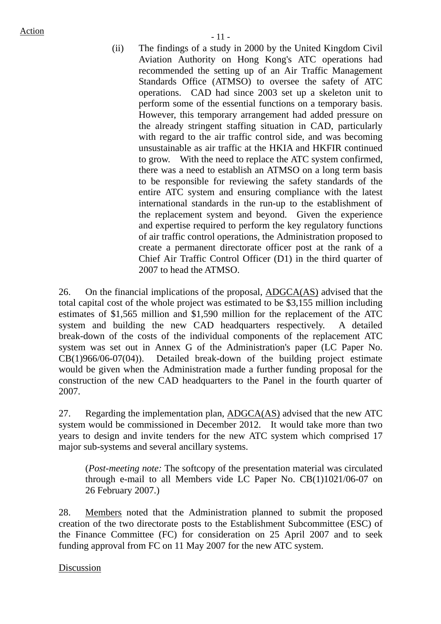$Action$   $-11$  -

(ii) The findings of a study in 2000 by the United Kingdom Civil Aviation Authority on Hong Kong's ATC operations had recommended the setting up of an Air Traffic Management Standards Office (ATMSO) to oversee the safety of ATC operations. CAD had since 2003 set up a skeleton unit to perform some of the essential functions on a temporary basis. However, this temporary arrangement had added pressure on the already stringent staffing situation in CAD, particularly with regard to the air traffic control side, and was becoming unsustainable as air traffic at the HKIA and HKFIR continued to grow. With the need to replace the ATC system confirmed, there was a need to establish an ATMSO on a long term basis to be responsible for reviewing the safety standards of the entire ATC system and ensuring compliance with the latest international standards in the run-up to the establishment of the replacement system and beyond. Given the experience and expertise required to perform the key regulatory functions of air traffic control operations, the Administration proposed to create a permanent directorate officer post at the rank of a Chief Air Traffic Control Officer (D1) in the third quarter of 2007 to head the ATMSO.

26. On the financial implications of the proposal, ADGCA(AS) advised that the total capital cost of the whole project was estimated to be \$3,155 million including estimates of \$1,565 million and \$1,590 million for the replacement of the ATC system and building the new CAD headquarters respectively. A detailed break-down of the costs of the individual components of the replacement ATC system was set out in Annex G of the Administration's paper (LC Paper No. CB(1)966/06-07(04)). Detailed break-down of the building project estimate would be given when the Administration made a further funding proposal for the construction of the new CAD headquarters to the Panel in the fourth quarter of 2007.

27. Regarding the implementation plan, ADGCA(AS) advised that the new ATC system would be commissioned in December 2012. It would take more than two years to design and invite tenders for the new ATC system which comprised 17 major sub-systems and several ancillary systems.

(*Post-meeting note:* The softcopy of the presentation material was circulated through e-mail to all Members vide LC Paper No. CB(1)1021/06-07 on 26 February 2007.)

28. Members noted that the Administration planned to submit the proposed creation of the two directorate posts to the Establishment Subcommittee (ESC) of the Finance Committee (FC) for consideration on 25 April 2007 and to seek funding approval from FC on 11 May 2007 for the new ATC system.

## Discussion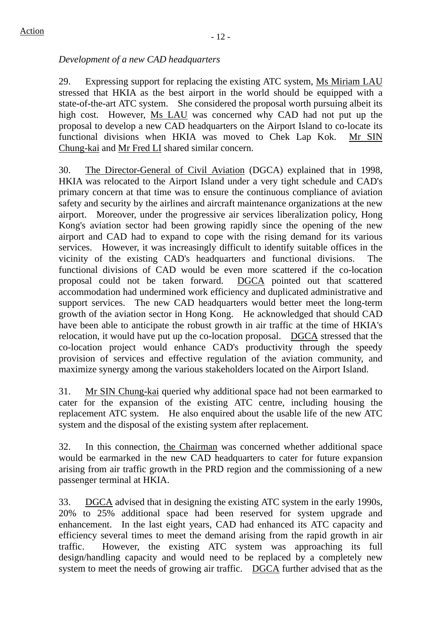## *Development of a new CAD headquarters*

29. Expressing support for replacing the existing ATC system, Ms Miriam LAU stressed that HKIA as the best airport in the world should be equipped with a state-of-the-art ATC system. She considered the proposal worth pursuing albeit its high cost. However, Ms LAU was concerned why CAD had not put up the proposal to develop a new CAD headquarters on the Airport Island to co-locate its functional divisions when HKIA was moved to Chek Lap Kok. Mr SIN Chung-kai and Mr Fred LI shared similar concern.

30. The Director-General of Civil Aviation (DGCA) explained that in 1998, HKIA was relocated to the Airport Island under a very tight schedule and CAD's primary concern at that time was to ensure the continuous compliance of aviation safety and security by the airlines and aircraft maintenance organizations at the new airport. Moreover, under the progressive air services liberalization policy, Hong Kong's aviation sector had been growing rapidly since the opening of the new airport and CAD had to expand to cope with the rising demand for its various services. However, it was increasingly difficult to identify suitable offices in the vicinity of the existing CAD's headquarters and functional divisions. The functional divisions of CAD would be even more scattered if the co-location proposal could not be taken forward. DGCA pointed out that scattered accommodation had undermined work efficiency and duplicated administrative and support services. The new CAD headquarters would better meet the long-term growth of the aviation sector in Hong Kong. He acknowledged that should CAD have been able to anticipate the robust growth in air traffic at the time of HKIA's relocation, it would have put up the co-location proposal. DGCA stressed that the co-location project would enhance CAD's productivity through the speedy provision of services and effective regulation of the aviation community, and maximize synergy among the various stakeholders located on the Airport Island.

31. Mr SIN Chung-kai queried why additional space had not been earmarked to cater for the expansion of the existing ATC centre, including housing the replacement ATC system. He also enquired about the usable life of the new ATC system and the disposal of the existing system after replacement.

32. In this connection, the Chairman was concerned whether additional space would be earmarked in the new CAD headquarters to cater for future expansion arising from air traffic growth in the PRD region and the commissioning of a new passenger terminal at HKIA.

33. DGCA advised that in designing the existing ATC system in the early 1990s, 20% to 25% additional space had been reserved for system upgrade and enhancement. In the last eight years, CAD had enhanced its ATC capacity and efficiency several times to meet the demand arising from the rapid growth in air traffic. However, the existing ATC system was approaching its full design/handling capacity and would need to be replaced by a completely new system to meet the needs of growing air traffic. DGCA further advised that as the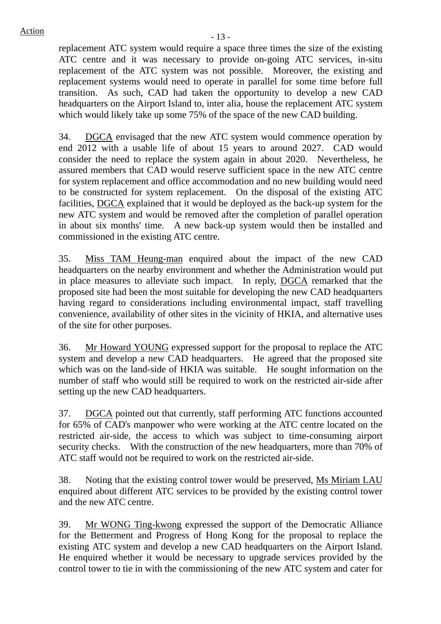replacement ATC system would require a space three times the size of the existing ATC centre and it was necessary to provide on-going ATC services, in-situ replacement of the ATC system was not possible. Moreover, the existing and replacement systems would need to operate in parallel for some time before full transition. As such, CAD had taken the opportunity to develop a new CAD headquarters on the Airport Island to, inter alia, house the replacement ATC system which would likely take up some 75% of the space of the new CAD building.

34. DGCA envisaged that the new ATC system would commence operation by end 2012 with a usable life of about 15 years to around 2027. CAD would consider the need to replace the system again in about 2020. Nevertheless, he assured members that CAD would reserve sufficient space in the new ATC centre for system replacement and office accommodation and no new building would need to be constructed for system replacement. On the disposal of the existing ATC facilities, DGCA explained that it would be deployed as the back-up system for the new ATC system and would be removed after the completion of parallel operation in about six months' time. A new back-up system would then be installed and commissioned in the existing ATC centre.

35. Miss TAM Heung-man enquired about the impact of the new CAD headquarters on the nearby environment and whether the Administration would put in place measures to alleviate such impact. In reply, DGCA remarked that the proposed site had been the most suitable for developing the new CAD headquarters having regard to considerations including environmental impact, staff travelling convenience, availability of other sites in the vicinity of HKIA, and alternative uses of the site for other purposes.

36. Mr Howard YOUNG expressed support for the proposal to replace the ATC system and develop a new CAD headquarters. He agreed that the proposed site which was on the land-side of HKIA was suitable. He sought information on the number of staff who would still be required to work on the restricted air-side after setting up the new CAD headquarters.

37. DGCA pointed out that currently, staff performing ATC functions accounted for 65% of CAD's manpower who were working at the ATC centre located on the restricted air-side, the access to which was subject to time-consuming airport security checks. With the construction of the new headquarters, more than 70% of ATC staff would not be required to work on the restricted air-side.

38. Noting that the existing control tower would be preserved, Ms Miriam LAU enquired about different ATC services to be provided by the existing control tower and the new ATC centre.

39. Mr WONG Ting-kwong expressed the support of the Democratic Alliance for the Betterment and Progress of Hong Kong for the proposal to replace the existing ATC system and develop a new CAD headquarters on the Airport Island. He enquired whether it would be necessary to upgrade services provided by the control tower to tie in with the commissioning of the new ATC system and cater for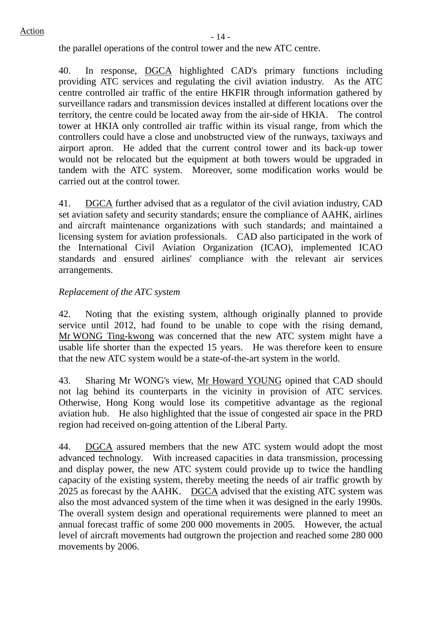the parallel operations of the control tower and the new ATC centre.

40. In response, DGCA highlighted CAD's primary functions including providing ATC services and regulating the civil aviation industry. As the ATC centre controlled air traffic of the entire HKFIR through information gathered by surveillance radars and transmission devices installed at different locations over the territory, the centre could be located away from the air-side of HKIA. The control tower at HKIA only controlled air traffic within its visual range, from which the controllers could have a close and unobstructed view of the runways, taxiways and airport apron. He added that the current control tower and its back-up tower would not be relocated but the equipment at both towers would be upgraded in tandem with the ATC system. Moreover, some modification works would be carried out at the control tower.

41. DGCA further advised that as a regulator of the civil aviation industry, CAD set aviation safety and security standards; ensure the compliance of AAHK, airlines and aircraft maintenance organizations with such standards; and maintained a licensing system for aviation professionals. CAD also participated in the work of the International Civil Aviation Organization (ICAO), implemented ICAO standards and ensured airlines' compliance with the relevant air services arrangements.

## *Replacement of the ATC system*

42. Noting that the existing system, although originally planned to provide service until 2012, had found to be unable to cope with the rising demand, Mr WONG Ting-kwong was concerned that the new ATC system might have a usable life shorter than the expected 15 years. He was therefore keen to ensure that the new ATC system would be a state-of-the-art system in the world.

43. Sharing Mr WONG's view, Mr Howard YOUNG opined that CAD should not lag behind its counterparts in the vicinity in provision of ATC services. Otherwise, Hong Kong would lose its competitive advantage as the regional aviation hub. He also highlighted that the issue of congested air space in the PRD region had received on-going attention of the Liberal Party.

44. DGCA assured members that the new ATC system would adopt the most advanced technology. With increased capacities in data transmission, processing and display power, the new ATC system could provide up to twice the handling capacity of the existing system, thereby meeting the needs of air traffic growth by 2025 as forecast by the AAHK. DGCA advised that the existing ATC system was also the most advanced system of the time when it was designed in the early 1990s. The overall system design and operational requirements were planned to meet an annual forecast traffic of some 200 000 movements in 2005. However, the actual level of aircraft movements had outgrown the projection and reached some 280 000 movements by 2006.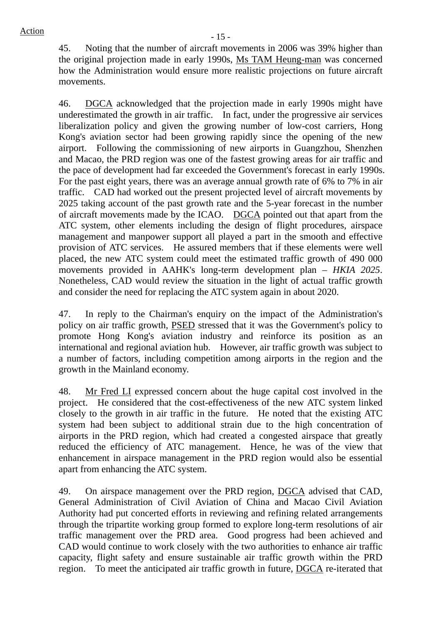45. Noting that the number of aircraft movements in 2006 was 39% higher than the original projection made in early 1990s, Ms TAM Heung-man was concerned how the Administration would ensure more realistic projections on future aircraft movements.

46. DGCA acknowledged that the projection made in early 1990s might have underestimated the growth in air traffic. In fact, under the progressive air services liberalization policy and given the growing number of low-cost carriers, Hong Kong's aviation sector had been growing rapidly since the opening of the new airport. Following the commissioning of new airports in Guangzhou, Shenzhen and Macao, the PRD region was one of the fastest growing areas for air traffic and the pace of development had far exceeded the Government's forecast in early 1990s. For the past eight years, there was an average annual growth rate of 6% to 7% in air traffic. CAD had worked out the present projected level of aircraft movements by 2025 taking account of the past growth rate and the 5-year forecast in the number of aircraft movements made by the ICAO. DGCA pointed out that apart from the ATC system, other elements including the design of flight procedures, airspace management and manpower support all played a part in the smooth and effective provision of ATC services. He assured members that if these elements were well placed, the new ATC system could meet the estimated traffic growth of 490 000 movements provided in AAHK's long-term development plan – *HKIA 2025*. Nonetheless, CAD would review the situation in the light of actual traffic growth and consider the need for replacing the ATC system again in about 2020.

47. In reply to the Chairman's enquiry on the impact of the Administration's policy on air traffic growth, **PSED** stressed that it was the Government's policy to promote Hong Kong's aviation industry and reinforce its position as an international and regional aviation hub. However, air traffic growth was subject to a number of factors, including competition among airports in the region and the growth in the Mainland economy.

48. Mr Fred LI expressed concern about the huge capital cost involved in the project. He considered that the cost-effectiveness of the new ATC system linked closely to the growth in air traffic in the future. He noted that the existing ATC system had been subject to additional strain due to the high concentration of airports in the PRD region, which had created a congested airspace that greatly reduced the efficiency of ATC management. Hence, he was of the view that enhancement in airspace management in the PRD region would also be essential apart from enhancing the ATC system.

49. On airspace management over the PRD region, DGCA advised that CAD, General Administration of Civil Aviation of China and Macao Civil Aviation Authority had put concerted efforts in reviewing and refining related arrangements through the tripartite working group formed to explore long-term resolutions of air traffic management over the PRD area. Good progress had been achieved and CAD would continue to work closely with the two authorities to enhance air traffic capacity, flight safety and ensure sustainable air traffic growth within the PRD region. To meet the anticipated air traffic growth in future, DGCA re-iterated that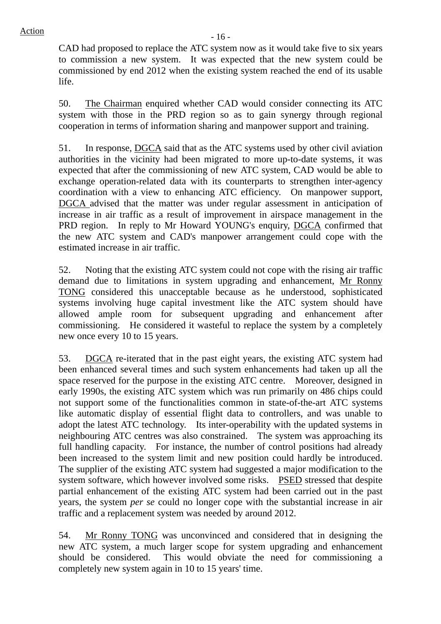CAD had proposed to replace the ATC system now as it would take five to six years to commission a new system. It was expected that the new system could be commissioned by end 2012 when the existing system reached the end of its usable life.

50. The Chairman enquired whether CAD would consider connecting its ATC system with those in the PRD region so as to gain synergy through regional cooperation in terms of information sharing and manpower support and training.

51. In response, DGCA said that as the ATC systems used by other civil aviation authorities in the vicinity had been migrated to more up-to-date systems, it was expected that after the commissioning of new ATC system, CAD would be able to exchange operation-related data with its counterparts to strengthen inter-agency coordination with a view to enhancing ATC efficiency. On manpower support, DGCA advised that the matter was under regular assessment in anticipation of increase in air traffic as a result of improvement in airspace management in the PRD region. In reply to Mr Howard YOUNG's enquiry, DGCA confirmed that the new ATC system and CAD's manpower arrangement could cope with the estimated increase in air traffic.

52. Noting that the existing ATC system could not cope with the rising air traffic demand due to limitations in system upgrading and enhancement, Mr Ronny TONG considered this unacceptable because as he understood, sophisticated systems involving huge capital investment like the ATC system should have allowed ample room for subsequent upgrading and enhancement after commissioning. He considered it wasteful to replace the system by a completely new once every 10 to 15 years.

53. DGCA re-iterated that in the past eight years, the existing ATC system had been enhanced several times and such system enhancements had taken up all the space reserved for the purpose in the existing ATC centre. Moreover, designed in early 1990s, the existing ATC system which was run primarily on 486 chips could not support some of the functionalities common in state-of-the-art ATC systems like automatic display of essential flight data to controllers, and was unable to adopt the latest ATC technology. Its inter-operability with the updated systems in neighbouring ATC centres was also constrained. The system was approaching its full handling capacity. For instance, the number of control positions had already been increased to the system limit and new position could hardly be introduced. The supplier of the existing ATC system had suggested a major modification to the system software, which however involved some risks. PSED stressed that despite partial enhancement of the existing ATC system had been carried out in the past years, the system *per se* could no longer cope with the substantial increase in air traffic and a replacement system was needed by around 2012.

54. Mr Ronny TONG was unconvinced and considered that in designing the new ATC system, a much larger scope for system upgrading and enhancement should be considered. This would obviate the need for commissioning a completely new system again in 10 to 15 years' time.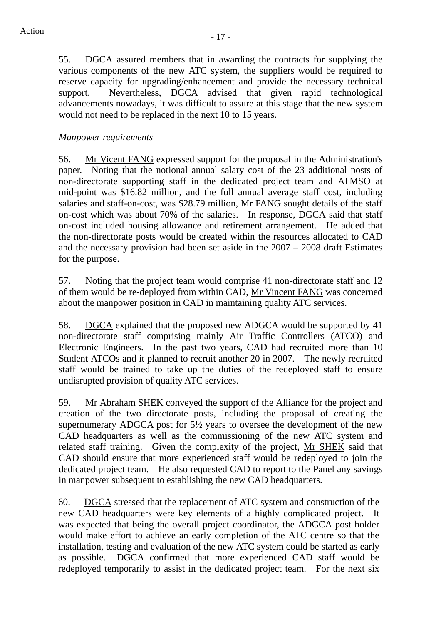55. DGCA assured members that in awarding the contracts for supplying the various components of the new ATC system, the suppliers would be required to reserve capacity for upgrading/enhancement and provide the necessary technical support. Nevertheless, DGCA advised that given rapid technological advancements nowadays, it was difficult to assure at this stage that the new system would not need to be replaced in the next 10 to 15 years.

## *Manpower requirements*

56. Mr Vicent FANG expressed support for the proposal in the Administration's paper. Noting that the notional annual salary cost of the 23 additional posts of non-directorate supporting staff in the dedicated project team and ATMSO at mid-point was \$16.82 million, and the full annual average staff cost, including salaries and staff-on-cost, was \$28.79 million, Mr FANG sought details of the staff on-cost which was about 70% of the salaries. In response, DGCA said that staff on-cost included housing allowance and retirement arrangement. He added that the non-directorate posts would be created within the resources allocated to CAD and the necessary provision had been set aside in the 2007 – 2008 draft Estimates for the purpose.

57. Noting that the project team would comprise 41 non-directorate staff and 12 of them would be re-deployed from within CAD, Mr Vincent FANG was concerned about the manpower position in CAD in maintaining quality ATC services.

58. DGCA explained that the proposed new ADGCA would be supported by 41 non-directorate staff comprising mainly Air Traffic Controllers (ATCO) and Electronic Engineers. In the past two years, CAD had recruited more than 10 Student ATCOs and it planned to recruit another 20 in 2007. The newly recruited staff would be trained to take up the duties of the redeployed staff to ensure undisrupted provision of quality ATC services.

59. Mr Abraham SHEK conveyed the support of the Alliance for the project and creation of the two directorate posts, including the proposal of creating the supernumerary ADGCA post for 5½ years to oversee the development of the new CAD headquarters as well as the commissioning of the new ATC system and related staff training. Given the complexity of the project, Mr SHEK said that CAD should ensure that more experienced staff would be redeployed to join the dedicated project team. He also requested CAD to report to the Panel any savings in manpower subsequent to establishing the new CAD headquarters.

60. DGCA stressed that the replacement of ATC system and construction of the new CAD headquarters were key elements of a highly complicated project. It was expected that being the overall project coordinator, the ADGCA post holder would make effort to achieve an early completion of the ATC centre so that the installation, testing and evaluation of the new ATC system could be started as early as possible. DGCA confirmed that more experienced CAD staff would be redeployed temporarily to assist in the dedicated project team. For the next six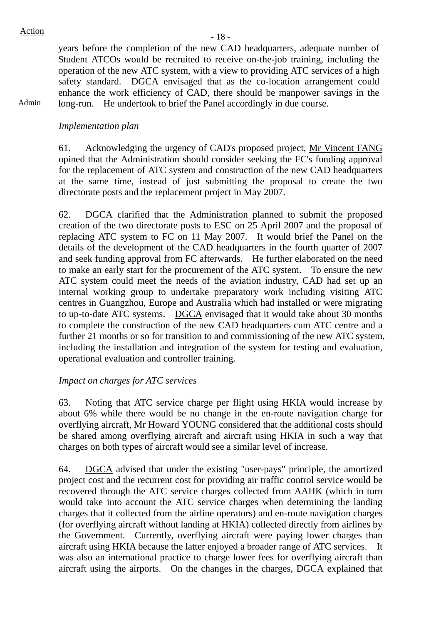Admin

years before the completion of the new CAD headquarters, adequate number of Student ATCOs would be recruited to receive on-the-job training, including the operation of the new ATC system, with a view to providing ATC services of a high safety standard. DGCA envisaged that as the co-location arrangement could enhance the work efficiency of CAD, there should be manpower savings in the long-run. He undertook to brief the Panel accordingly in due course.

## *Implementation plan*

61. Acknowledging the urgency of CAD's proposed project, Mr Vincent FANG opined that the Administration should consider seeking the FC's funding approval for the replacement of ATC system and construction of the new CAD headquarters at the same time, instead of just submitting the proposal to create the two directorate posts and the replacement project in May 2007.

62. DGCA clarified that the Administration planned to submit the proposed creation of the two directorate posts to ESC on 25 April 2007 and the proposal of replacing ATC system to FC on 11 May 2007. It would brief the Panel on the details of the development of the CAD headquarters in the fourth quarter of 2007 and seek funding approval from FC afterwards. He further elaborated on the need to make an early start for the procurement of the ATC system. To ensure the new ATC system could meet the needs of the aviation industry, CAD had set up an internal working group to undertake preparatory work including visiting ATC centres in Guangzhou, Europe and Australia which had installed or were migrating to up-to-date ATC systems. DGCA envisaged that it would take about 30 months to complete the construction of the new CAD headquarters cum ATC centre and a further 21 months or so for transition to and commissioning of the new ATC system, including the installation and integration of the system for testing and evaluation, operational evaluation and controller training.

## *Impact on charges for ATC services*

63. Noting that ATC service charge per flight using HKIA would increase by about 6% while there would be no change in the en-route navigation charge for overflying aircraft, Mr Howard YOUNG considered that the additional costs should be shared among overflying aircraft and aircraft using HKIA in such a way that charges on both types of aircraft would see a similar level of increase.

64. DGCA advised that under the existing "user-pays" principle, the amortized project cost and the recurrent cost for providing air traffic control service would be recovered through the ATC service charges collected from AAHK (which in turn would take into account the ATC service charges when determining the landing charges that it collected from the airline operators) and en-route navigation charges (for overflying aircraft without landing at HKIA) collected directly from airlines by the Government. Currently, overflying aircraft were paying lower charges than aircraft using HKIA because the latter enjoyed a broader range of ATC services. It was also an international practice to charge lower fees for overflying aircraft than aircraft using the airports. On the changes in the charges, DGCA explained that